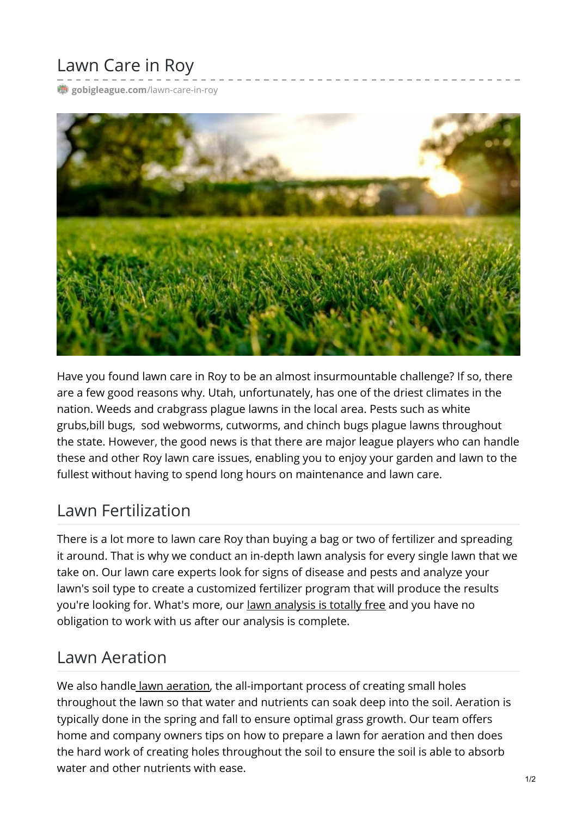# Lawn Care in Roy

[gobigleague.com](https://gobigleague.com/lawn-care-in-roy/)/lawn-care-in-roy



Have you found lawn care in Roy to be an almost insurmountable challenge? If so, there are a few good reasons why. Utah, unfortunately, has one of the driest climates in the nation. Weeds and crabgrass plague lawns in the local area. Pests such as white grubs,bill bugs, sod webworms, cutworms, and chinch bugs plague lawns throughout the state. However, the good news is that there are major league players who can handle these and other Roy lawn care issues, enabling you to enjoy your garden and lawn to the fullest without having to spend long hours on maintenance and lawn care.

### Lawn Fertilization

There is a lot more to lawn care Roy than buying a bag or two of fertilizer and spreading it around. That is why we conduct an in-depth lawn analysis for every single lawn that we take on. Our lawn care experts look for signs of disease and pests and analyze your lawn's soil type to create a customized fertilizer program that will produce the results you're looking for. What's more, our lawn [analysis](https://gobigleague.com/get-started-big-league-lawns-utah/) is totally free and you have no obligation to work with us after our analysis is complete.

### Lawn Aeration

We also handle lawn [aeration](https://gobigleague.com/lawn-aerator-service-utah/), the all-important process of creating small holes throughout the lawn so that water and nutrients can soak deep into the soil. Aeration is typically done in the spring and fall to ensure optimal grass growth. Our team offers home and company owners tips on how to prepare a lawn for aeration and then does the hard work of creating holes throughout the soil to ensure the soil is able to absorb water and other nutrients with ease.